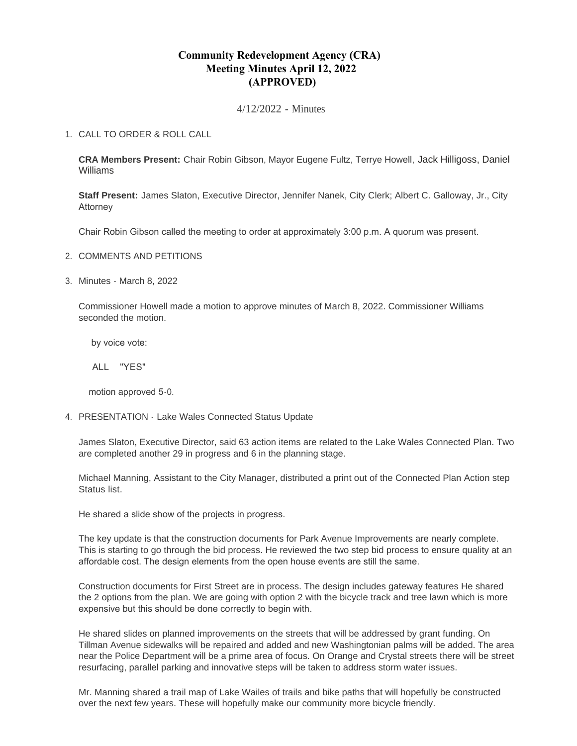# **Community Redevelopment Agency (CRA) Meeting Minutes April 12, 2022 (APPROVED)**

4/12/2022 - Minutes

## CALL TO ORDER & ROLL CALL 1.

**CRA Members Present:** Chair Robin Gibson, Mayor Eugene Fultz, Terrye Howell, Jack Hilligoss, Daniel Williams

**Staff Present:** James Slaton, Executive Director, Jennifer Nanek, City Clerk; Albert C. Galloway, Jr., City Attorney

Chair Robin Gibson called the meeting to order at approximately 3:00 p.m. A quorum was present.

- 2. COMMENTS AND PETITIONS
- Minutes March 8, 2022 3.

Commissioner Howell made a motion to approve minutes of March 8, 2022. Commissioner Williams seconded the motion.

by voice vote:

ALL "YES"

motion approved 5-0.

PRESENTATION - Lake Wales Connected Status Update 4.

James Slaton, Executive Director, said 63 action items are related to the Lake Wales Connected Plan. Two are completed another 29 in progress and 6 in the planning stage.

Michael Manning, Assistant to the City Manager, distributed a print out of the Connected Plan Action step Status list.

He shared a slide show of the projects in progress.

The key update is that the construction documents for Park Avenue Improvements are nearly complete. This is starting to go through the bid process. He reviewed the two step bid process to ensure quality at an affordable cost. The design elements from the open house events are still the same.

Construction documents for First Street are in process. The design includes gateway features He shared the 2 options from the plan. We are going with option 2 with the bicycle track and tree lawn which is more expensive but this should be done correctly to begin with.

He shared slides on planned improvements on the streets that will be addressed by grant funding. On Tillman Avenue sidewalks will be repaired and added and new Washingtonian palms will be added. The area near the Police Department will be a prime area of focus. On Orange and Crystal streets there will be street resurfacing, parallel parking and innovative steps will be taken to address storm water issues.

Mr. Manning shared a trail map of Lake Wailes of trails and bike paths that will hopefully be constructed over the next few years. These will hopefully make our community more bicycle friendly.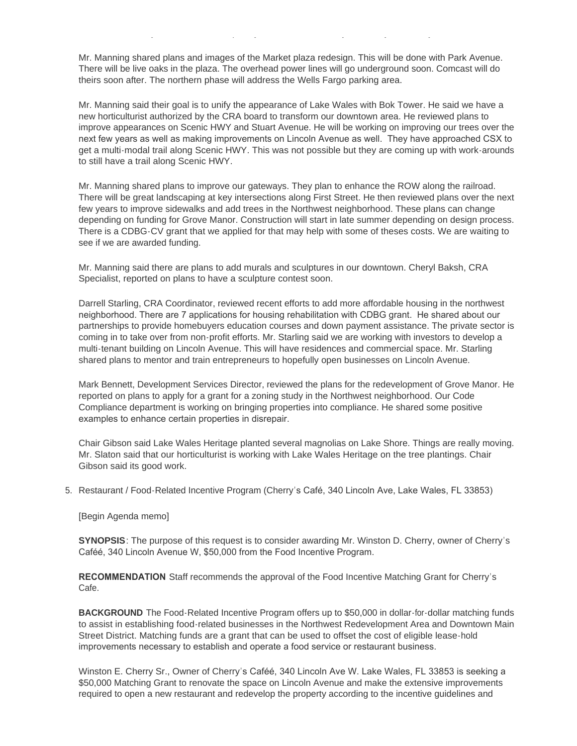Mr. Manning shared plans and images of the Market plaza redesign. This will be done with Park Avenue. There will be live oaks in the plaza. The overhead power lines will go underground soon. Comcast will do theirs soon after. The northern phase will address the Wells Fargo parking area.

over the next few years. These will hopefully make our community more bicycle friendly.

Mr. Manning said their goal is to unify the appearance of Lake Wales with Bok Tower. He said we have a new horticulturist authorized by the CRA board to transform our downtown area. He reviewed plans to improve appearances on Scenic HWY and Stuart Avenue. He will be working on improving our trees over the next few years as well as making improvements on Lincoln Avenue as well. They have approached CSX to get a multi-modal trail along Scenic HWY. This was not possible but they are coming up with work-arounds to still have a trail along Scenic HWY.

Mr. Manning shared plans to improve our gateways. They plan to enhance the ROW along the railroad. There will be great landscaping at key intersections along First Street. He then reviewed plans over the next few years to improve sidewalks and add trees in the Northwest neighborhood. These plans can change depending on funding for Grove Manor. Construction will start in late summer depending on design process. There is a CDBG-CV grant that we applied for that may help with some of theses costs. We are waiting to see if we are awarded funding.

Mr. Manning said there are plans to add murals and sculptures in our downtown. Cheryl Baksh, CRA Specialist, reported on plans to have a sculpture contest soon.

Darrell Starling, CRA Coordinator, reviewed recent efforts to add more affordable housing in the northwest neighborhood. There are 7 applications for housing rehabilitation with CDBG grant. He shared about our partnerships to provide homebuyers education courses and down payment assistance. The private sector is coming in to take over from non-profit efforts. Mr. Starling said we are working with investors to develop a multi-tenant building on Lincoln Avenue. This will have residences and commercial space. Mr. Starling shared plans to mentor and train entrepreneurs to hopefully open businesses on Lincoln Avenue.

Mark Bennett, Development Services Director, reviewed the plans for the redevelopment of Grove Manor. He reported on plans to apply for a grant for a zoning study in the Northwest neighborhood. Our Code Compliance department is working on bringing properties into compliance. He shared some positive examples to enhance certain properties in disrepair.

Chair Gibson said Lake Wales Heritage planted several magnolias on Lake Shore. Things are really moving. Mr. Slaton said that our horticulturist is working with Lake Wales Heritage on the tree plantings. Chair Gibson said its good work.

5. Restaurant / Food-Related Incentive Program (Cherry's Café, 340 Lincoln Ave, Lake Wales, FL 33853)

#### [Begin Agenda memo]

**SYNOPSIS**: The purpose of this request is to consider awarding Mr. Winston D. Cherry, owner of Cherry's Caféé, 340 Lincoln Avenue W, \$50,000 from the Food Incentive Program.

**RECOMMENDATION** Staff recommends the approval of the Food Incentive Matching Grant for Cherry's Cafe.

**BACKGROUND** The Food-Related Incentive Program offers up to \$50,000 in dollar-for-dollar matching funds to assist in establishing food-related businesses in the Northwest Redevelopment Area and Downtown Main Street District. Matching funds are a grant that can be used to offset the cost of eligible lease-hold improvements necessary to establish and operate a food service or restaurant business.

Winston E. Cherry Sr., Owner of Cherry's Caféé, 340 Lincoln Ave W. Lake Wales, FL 33853 is seeking a \$50,000 Matching Grant to renovate the space on Lincoln Avenue and make the extensive improvements required to open a new restaurant and redevelop the property according to the incentive guidelines and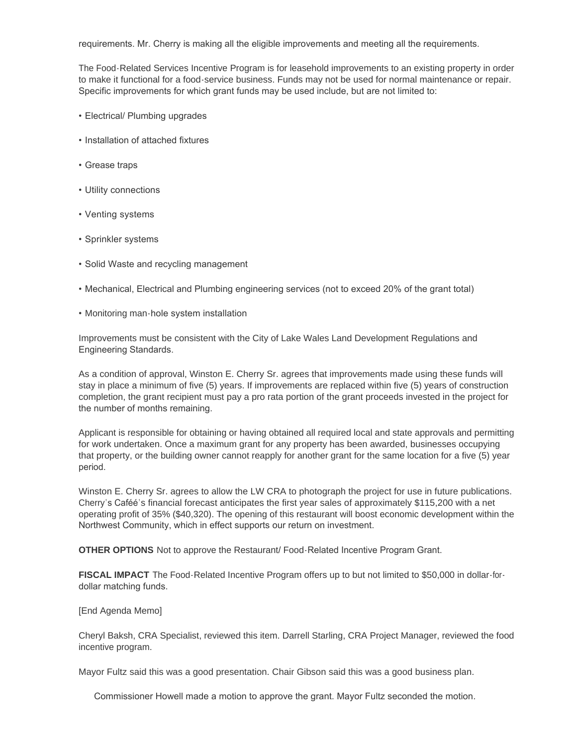requirements. Mr. Cherry is making all the eligible improvements and meeting all the requirements.

The Food-Related Services Incentive Program is for leasehold improvements to an existing property in order to make it functional for a food-service business. Funds may not be used for normal maintenance or repair. Specific improvements for which grant funds may be used include, but are not limited to:

- Electrical/ Plumbing upgrades
- Installation of attached fixtures
- Grease traps
- Utility connections
- Venting systems
- Sprinkler systems
- Solid Waste and recycling management
- Mechanical, Electrical and Plumbing engineering services (not to exceed 20% of the grant total)
- Monitoring man-hole system installation

Improvements must be consistent with the City of Lake Wales Land Development Regulations and Engineering Standards.

As a condition of approval, Winston E. Cherry Sr. agrees that improvements made using these funds will stay in place a minimum of five (5) years. If improvements are replaced within five (5) years of construction completion, the grant recipient must pay a pro rata portion of the grant proceeds invested in the project for the number of months remaining.

Applicant is responsible for obtaining or having obtained all required local and state approvals and permitting for work undertaken. Once a maximum grant for any property has been awarded, businesses occupying that property, or the building owner cannot reapply for another grant for the same location for a five (5) year period.

Winston E. Cherry Sr. agrees to allow the LW CRA to photograph the project for use in future publications. Cherry's Caféé's financial forecast anticipates the first year sales of approximately \$115,200 with a net operating profit of 35% (\$40,320). The opening of this restaurant will boost economic development within the Northwest Community, which in effect supports our return on investment.

**OTHER OPTIONS** Not to approve the Restaurant/ Food-Related Incentive Program Grant.

**FISCAL IMPACT** The Food-Related Incentive Program offers up to but not limited to \$50,000 in dollar-fordollar matching funds.

#### [End Agenda Memo]

Cheryl Baksh, CRA Specialist, reviewed this item. Darrell Starling, CRA Project Manager, reviewed the food incentive program.

Mayor Fultz said this was a good presentation. Chair Gibson said this was a good business plan.

Commissioner Howell made a motion to approve the grant. Mayor Fultz seconded the motion.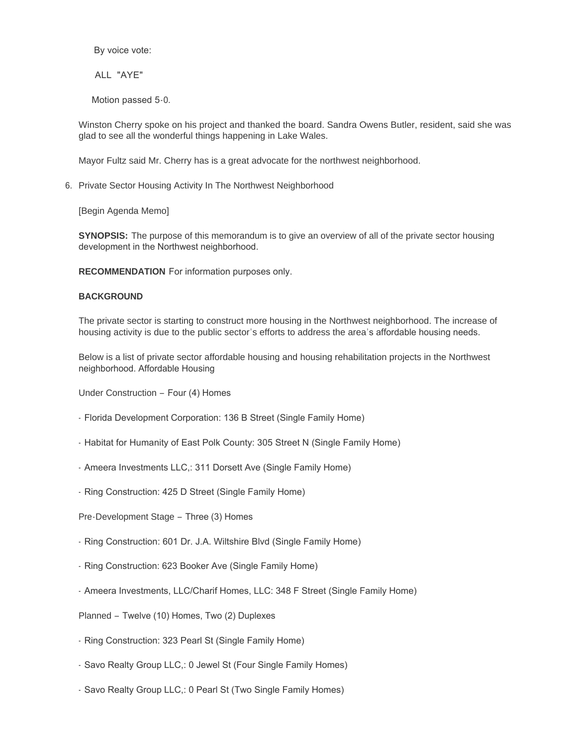By voice vote:

ALL "AYE"

Motion passed 5-0.

Winston Cherry spoke on his project and thanked the board. Sandra Owens Butler, resident, said she was glad to see all the wonderful things happening in Lake Wales.

Mayor Fultz said Mr. Cherry has is a great advocate for the northwest neighborhood.

6. Private Sector Housing Activity In The Northwest Neighborhood

[Begin Agenda Memo]

**SYNOPSIS:** The purpose of this memorandum is to give an overview of all of the private sector housing development in the Northwest neighborhood.

**RECOMMENDATION** For information purposes only.

### **BACKGROUND**

The private sector is starting to construct more housing in the Northwest neighborhood. The increase of housing activity is due to the public sector's efforts to address the area's affordable housing needs.

Below is a list of private sector affordable housing and housing rehabilitation projects in the Northwest neighborhood. Affordable Housing

Under Construction – Four (4) Homes

- Florida Development Corporation: 136 B Street (Single Family Home)
- Habitat for Humanity of East Polk County: 305 Street N (Single Family Home)
- Ameera Investments LLC,: 311 Dorsett Ave (Single Family Home)
- Ring Construction: 425 D Street (Single Family Home)

Pre-Development Stage – Three (3) Homes

- Ring Construction: 601 Dr. J.A. Wiltshire Blvd (Single Family Home)
- Ring Construction: 623 Booker Ave (Single Family Home)
- Ameera Investments, LLC/Charif Homes, LLC: 348 F Street (Single Family Home)

Planned – Twelve (10) Homes, Two (2) Duplexes

- Ring Construction: 323 Pearl St (Single Family Home)
- Savo Realty Group LLC,: 0 Jewel St (Four Single Family Homes)
- Savo Realty Group LLC,: 0 Pearl St (Two Single Family Homes)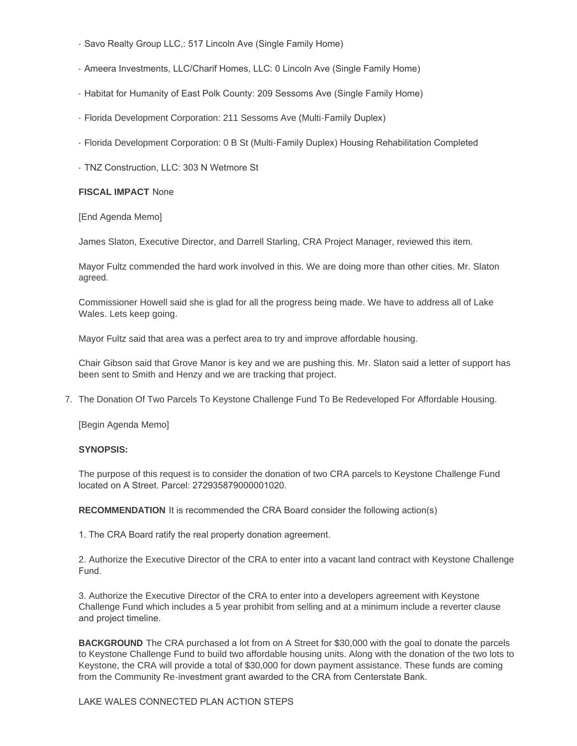- Savo Realty Group LLC,: 517 Lincoln Ave (Single Family Home)
- Ameera Investments, LLC/Charif Homes, LLC: 0 Lincoln Ave (Single Family Home)
- Habitat for Humanity of East Polk County: 209 Sessoms Ave (Single Family Home)
- Florida Development Corporation: 211 Sessoms Ave (Multi-Family Duplex)
- Florida Development Corporation: 0 B St (Multi-Family Duplex) Housing Rehabilitation Completed
- TNZ Construction, LLC: 303 N Wetmore St

# **FISCAL IMPACT** None

### [End Agenda Memo]

James Slaton, Executive Director, and Darrell Starling, CRA Project Manager, reviewed this item.

Mayor Fultz commended the hard work involved in this. We are doing more than other cities. Mr. Slaton agreed.

Commissioner Howell said she is glad for all the progress being made. We have to address all of Lake Wales. Lets keep going.

Mayor Fultz said that area was a perfect area to try and improve affordable housing.

Chair Gibson said that Grove Manor is key and we are pushing this. Mr. Slaton said a letter of support has been sent to Smith and Henzy and we are tracking that project.

7. The Donation Of Two Parcels To Keystone Challenge Fund To Be Redeveloped For Affordable Housing.

[Begin Agenda Memo]

## **SYNOPSIS:**

The purpose of this request is to consider the donation of two CRA parcels to Keystone Challenge Fund located on A Street. Parcel: 272935879000001020.

**RECOMMENDATION** It is recommended the CRA Board consider the following action(s)

1. The CRA Board ratify the real property donation agreement.

2. Authorize the Executive Director of the CRA to enter into a vacant land contract with Keystone Challenge Fund.

3. Authorize the Executive Director of the CRA to enter into a developers agreement with Keystone Challenge Fund which includes a 5 year prohibit from selling and at a minimum include a reverter clause and project timeline.

**BACKGROUND** The CRA purchased a lot from on A Street for \$30,000 with the goal to donate the parcels to Keystone Challenge Fund to build two affordable housing units. Along with the donation of the two lots to Keystone, the CRA will provide a total of \$30,000 for down payment assistance. These funds are coming from the Community Re-investment grant awarded to the CRA from Centerstate Bank.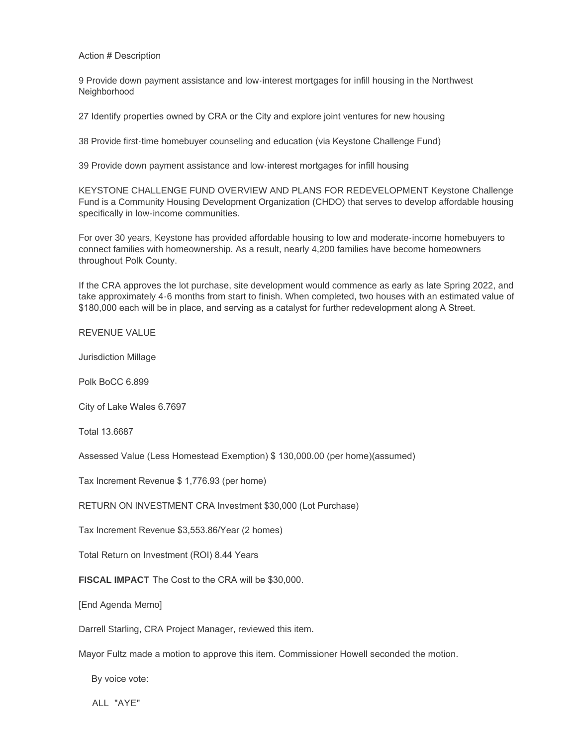Action # Description

9 Provide down payment assistance and low-interest mortgages for infill housing in the Northwest Neighborhood

27 Identify properties owned by CRA or the City and explore joint ventures for new housing

38 Provide first-time homebuyer counseling and education (via Keystone Challenge Fund)

39 Provide down payment assistance and low-interest mortgages for infill housing

KEYSTONE CHALLENGE FUND OVERVIEW AND PLANS FOR REDEVELOPMENT Keystone Challenge Fund is a Community Housing Development Organization (CHDO) that serves to develop affordable housing specifically in low-income communities.

For over 30 years, Keystone has provided affordable housing to low and moderate-income homebuyers to connect families with homeownership. As a result, nearly 4,200 families have become homeowners throughout Polk County.

If the CRA approves the lot purchase, site development would commence as early as late Spring 2022, and take approximately 4-6 months from start to finish. When completed, two houses with an estimated value of \$180,000 each will be in place, and serving as a catalyst for further redevelopment along A Street.

REVENUE VALUE

Jurisdiction Millage

Polk BoCC 6.899

City of Lake Wales 6.7697

Total 13.6687

Assessed Value (Less Homestead Exemption) \$ 130,000.00 (per home)(assumed)

Tax Increment Revenue \$ 1,776.93 (per home)

RETURN ON INVESTMENT CRA Investment \$30,000 (Lot Purchase)

Tax Increment Revenue \$3,553.86/Year (2 homes)

Total Return on Investment (ROI) 8.44 Years

**FISCAL IMPACT** The Cost to the CRA will be \$30,000.

[End Agenda Memo]

Darrell Starling, CRA Project Manager, reviewed this item.

Mayor Fultz made a motion to approve this item. Commissioner Howell seconded the motion.

By voice vote:

ALL "AYE"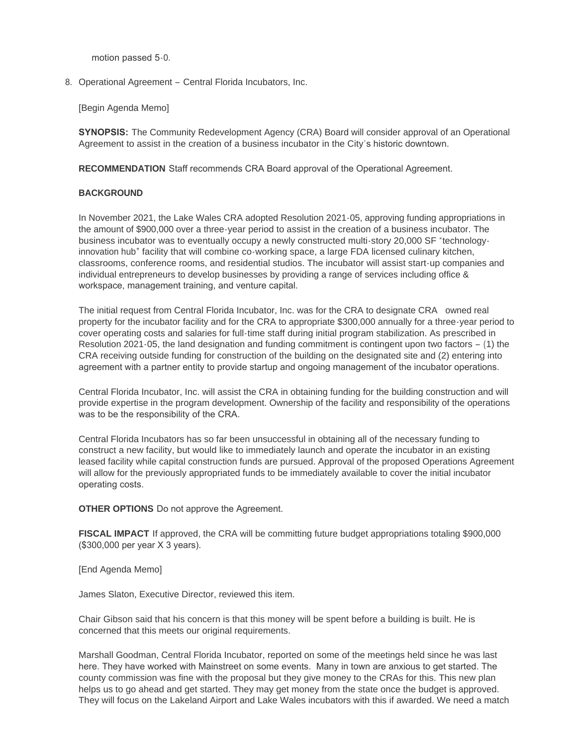motion passed 5-0.

8. Operational Agreement – Central Florida Incubators, Inc.

[Begin Agenda Memo]

**SYNOPSIS:** The Community Redevelopment Agency (CRA) Board will consider approval of an Operational Agreement to assist in the creation of a business incubator in the City's historic downtown.

**RECOMMENDATION** Staff recommends CRA Board approval of the Operational Agreement.

## **BACKGROUND**

In November 2021, the Lake Wales CRA adopted Resolution 2021-05, approving funding appropriations in the amount of \$900,000 over a three-year period to assist in the creation of a business incubator. The business incubator was to eventually occupy a newly constructed multi-story 20,000 SF "technologyinnovation hub" facility that will combine co-working space, a large FDA licensed culinary kitchen, classrooms, conference rooms, and residential studios. The incubator will assist start-up companies and individual entrepreneurs to develop businesses by providing a range of services including office & workspace, management training, and venture capital.

The initial request from Central Florida Incubator, Inc. was for the CRA to designate CRA owned real property for the incubator facility and for the CRA to appropriate \$300,000 annually for a three-year period to cover operating costs and salaries for full-time staff during initial program stabilization. As prescribed in Resolution 2021-05, the land designation and funding commitment is contingent upon two factors – (1) the CRA receiving outside funding for construction of the building on the designated site and (2) entering into agreement with a partner entity to provide startup and ongoing management of the incubator operations.

Central Florida Incubator, Inc. will assist the CRA in obtaining funding for the building construction and will provide expertise in the program development. Ownership of the facility and responsibility of the operations was to be the responsibility of the CRA.

Central Florida Incubators has so far been unsuccessful in obtaining all of the necessary funding to construct a new facility, but would like to immediately launch and operate the incubator in an existing leased facility while capital construction funds are pursued. Approval of the proposed Operations Agreement will allow for the previously appropriated funds to be immediately available to cover the initial incubator operating costs.

**OTHER OPTIONS** Do not approve the Agreement.

**FISCAL IMPACT** If approved, the CRA will be committing future budget appropriations totaling \$900,000 (\$300,000 per year X 3 years).

[End Agenda Memo]

James Slaton, Executive Director, reviewed this item.

Chair Gibson said that his concern is that this money will be spent before a building is built. He is concerned that this meets our original requirements.

Marshall Goodman, Central Florida Incubator, reported on some of the meetings held since he was last here. They have worked with Mainstreet on some events. Many in town are anxious to get started. The county commission was fine with the proposal but they give money to the CRAs for this. This new plan helps us to go ahead and get started. They may get money from the state once the budget is approved. They will focus on the Lakeland Airport and Lake Wales incubators with this if awarded. We need a match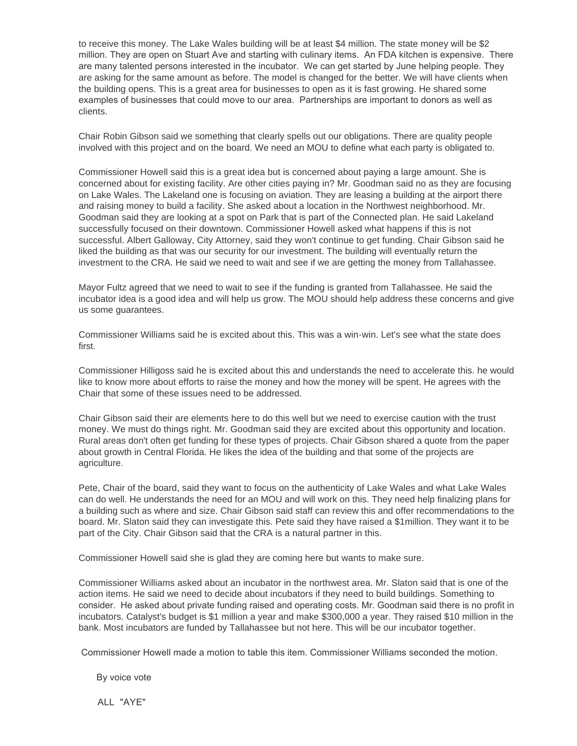to receive this money. The Lake Wales building will be at least \$4 million. The state money will be \$2 million. They are open on Stuart Ave and starting with culinary items. An FDA kitchen is expensive. There are many talented persons interested in the incubator. We can get started by June helping people. They are asking for the same amount as before. The model is changed for the better. We will have clients when the building opens. This is a great area for businesses to open as it is fast growing. He shared some examples of businesses that could move to our area. Partnerships are important to donors as well as clients.

Chair Robin Gibson said we something that clearly spells out our obligations. There are quality people involved with this project and on the board. We need an MOU to define what each party is obligated to.

Commissioner Howell said this is a great idea but is concerned about paying a large amount. She is concerned about for existing facility. Are other cities paying in? Mr. Goodman said no as they are focusing on Lake Wales. The Lakeland one is focusing on aviation. They are leasing a building at the airport there and raising money to build a facility. She asked about a location in the Northwest neighborhood. Mr. Goodman said they are looking at a spot on Park that is part of the Connected plan. He said Lakeland successfully focused on their downtown. Commissioner Howell asked what happens if this is not successful. Albert Galloway, City Attorney, said they won't continue to get funding. Chair Gibson said he liked the building as that was our security for our investment. The building will eventually return the investment to the CRA. He said we need to wait and see if we are getting the money from Tallahassee.

Mayor Fultz agreed that we need to wait to see if the funding is granted from Tallahassee. He said the incubator idea is a good idea and will help us grow. The MOU should help address these concerns and give us some guarantees.

Commissioner Williams said he is excited about this. This was a win-win. Let's see what the state does first.

Commissioner Hilligoss said he is excited about this and understands the need to accelerate this. he would like to know more about efforts to raise the money and how the money will be spent. He agrees with the Chair that some of these issues need to be addressed.

Chair Gibson said their are elements here to do this well but we need to exercise caution with the trust money. We must do things right. Mr. Goodman said they are excited about this opportunity and location. Rural areas don't often get funding for these types of projects. Chair Gibson shared a quote from the paper about growth in Central Florida. He likes the idea of the building and that some of the projects are agriculture.

Pete, Chair of the board, said they want to focus on the authenticity of Lake Wales and what Lake Wales can do well. He understands the need for an MOU and will work on this. They need help finalizing plans for a building such as where and size. Chair Gibson said staff can review this and offer recommendations to the board. Mr. Slaton said they can investigate this. Pete said they have raised a \$1million. They want it to be part of the City. Chair Gibson said that the CRA is a natural partner in this.

Commissioner Howell said she is glad they are coming here but wants to make sure.

Commissioner Williams asked about an incubator in the northwest area. Mr. Slaton said that is one of the action items. He said we need to decide about incubators if they need to build buildings. Something to consider. He asked about private funding raised and operating costs. Mr. Goodman said there is no profit in incubators. Catalyst's budget is \$1 million a year and make \$300,000 a year. They raised \$10 million in the bank. Most incubators are funded by Tallahassee but not here. This will be our incubator together.

Commissioner Howell made a motion to table this item. Commissioner Williams seconded the motion.

By voice vote

ALL "AYF"